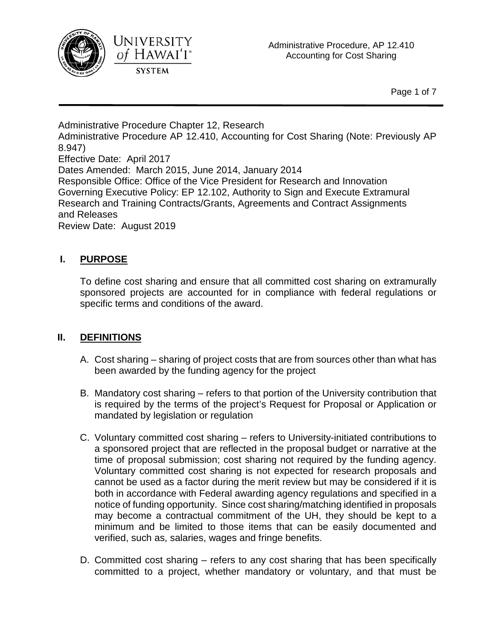



Page 1 of 7

Administrative Procedure Chapter 12, Research Administrative Procedure AP 12.410, Accounting for Cost Sharing (Note: Previously AP 8.947) Effective Date: April 2017 Dates Amended: March 2015, June 2014, January 2014 Responsible Office: Office of the Vice President for Research and Innovation Governing Executive Policy: EP 12.102, Authority to Sign and Execute Extramural Research and Training Contracts/Grants, Agreements and Contract Assignments and Releases Review Date: August 2019

## **I. PURPOSE**

To define cost sharing and ensure that all committed cost sharing on extramurally sponsored projects are accounted for in compliance with federal regulations or specific terms and conditions of the award.

## **II. DEFINITIONS**

- A. Cost sharing sharing of project costs that are from sources other than what has been awarded by the funding agency for the project
- B. Mandatory cost sharing refers to that portion of the University contribution that is required by the terms of the project's Request for Proposal or Application or mandated by legislation or regulation
- C. Voluntary committed cost sharing refers to University-initiated contributions to a sponsored project that are reflected in the proposal budget or narrative at the time of proposal submission; cost sharing not required by the funding agency. Voluntary committed cost sharing is not expected for research proposals and cannot be used as a factor during the merit review but may be considered if it is both in accordance with Federal awarding agency regulations and specified in a notice of funding opportunity. Since cost sharing/matching identified in proposals may become a contractual commitment of the UH, they should be kept to a minimum and be limited to those items that can be easily documented and verified, such as, salaries, wages and fringe benefits.
- D. Committed cost sharing refers to any cost sharing that has been specifically committed to a project, whether mandatory or voluntary, and that must be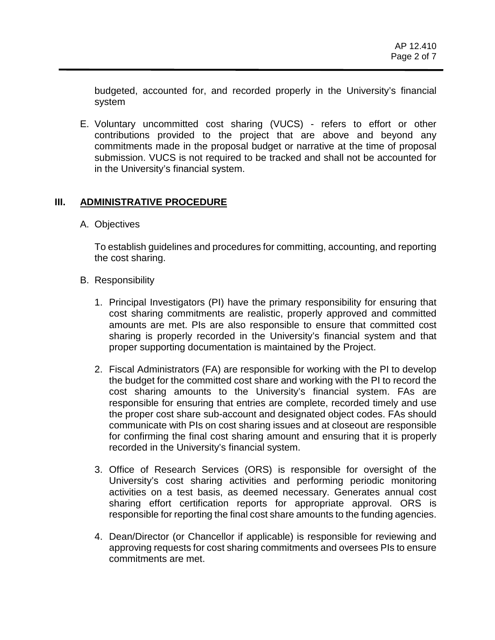budgeted, accounted for, and recorded properly in the University's financial system

E. Voluntary uncommitted cost sharing (VUCS) - refers to effort or other contributions provided to the project that are above and beyond any commitments made in the proposal budget or narrative at the time of proposal submission. VUCS is not required to be tracked and shall not be accounted for in the University's financial system.

## **III. ADMINISTRATIVE PROCEDURE**

A. Objectives

To establish guidelines and procedures for committing, accounting, and reporting the cost sharing.

- B. Responsibility
	- 1. Principal Investigators (PI) have the primary responsibility for ensuring that cost sharing commitments are realistic, properly approved and committed amounts are met. PIs are also responsible to ensure that committed cost sharing is properly recorded in the University's financial system and that proper supporting documentation is maintained by the Project.
	- 2. Fiscal Administrators (FA) are responsible for working with the PI to develop the budget for the committed cost share and working with the PI to record the cost sharing amounts to the University's financial system. FAs are responsible for ensuring that entries are complete, recorded timely and use the proper cost share sub-account and designated object codes. FAs should communicate with PIs on cost sharing issues and at closeout are responsible for confirming the final cost sharing amount and ensuring that it is properly recorded in the University's financial system.
	- 3. Office of Research Services (ORS) is responsible for oversight of the University's cost sharing activities and performing periodic monitoring activities on a test basis, as deemed necessary. Generates annual cost sharing effort certification reports for appropriate approval. ORS is responsible for reporting the final cost share amounts to the funding agencies.
	- 4. Dean/Director (or Chancellor if applicable) is responsible for reviewing and approving requests for cost sharing commitments and oversees PIs to ensure commitments are met.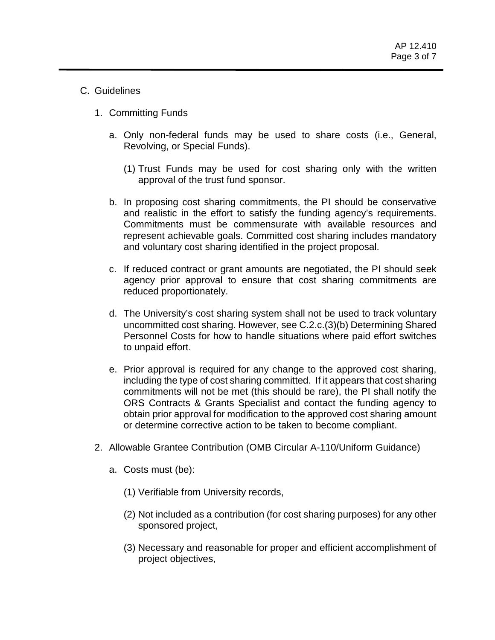#### C. Guidelines

- 1. Committing Funds
	- a. Only non-federal funds may be used to share costs (i.e., General, Revolving, or Special Funds).
		- (1) Trust Funds may be used for cost sharing only with the written approval of the trust fund sponsor.
	- b. In proposing cost sharing commitments, the PI should be conservative and realistic in the effort to satisfy the funding agency's requirements. Commitments must be commensurate with available resources and represent achievable goals. Committed cost sharing includes mandatory and voluntary cost sharing identified in the project proposal.
	- c. If reduced contract or grant amounts are negotiated, the PI should seek agency prior approval to ensure that cost sharing commitments are reduced proportionately.
	- d. The University's cost sharing system shall not be used to track voluntary uncommitted cost sharing. However, see C.2.c.(3)(b) Determining Shared Personnel Costs for how to handle situations where paid effort switches to unpaid effort.
	- e. Prior approval is required for any change to the approved cost sharing, including the type of cost sharing committed. If it appears that cost sharing commitments will not be met (this should be rare), the PI shall notify the ORS Contracts & Grants Specialist and contact the funding agency to obtain prior approval for modification to the approved cost sharing amount or determine corrective action to be taken to become compliant.
- 2. Allowable Grantee Contribution (OMB Circular A-110/Uniform Guidance)
	- a. Costs must (be):
		- (1) Verifiable from University records,
		- (2) Not included as a contribution (for cost sharing purposes) for any other sponsored project,
		- (3) Necessary and reasonable for proper and efficient accomplishment of project objectives,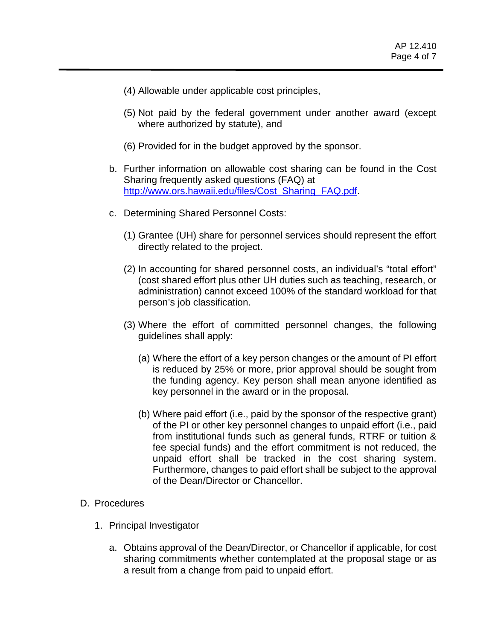- (4) Allowable under applicable cost principles,
- (5) Not paid by the federal government under another award (except where authorized by statute), and
- (6) Provided for in the budget approved by the sponsor.
- b. Further information on allowable cost sharing can be found in the Cost Sharing frequently asked questions (FAQ) at [http://www.ors.hawaii.edu/files/Cost\\_Sharing\\_FAQ.pdf.](http://www.ors.hawaii.edu/files/Cost_Sharing_FAQ.pdf)
- c. Determining Shared Personnel Costs:
	- (1) Grantee (UH) share for personnel services should represent the effort directly related to the project.
	- (2) In accounting for shared personnel costs, an individual's "total effort" (cost shared effort plus other UH duties such as teaching, research, or administration) cannot exceed 100% of the standard workload for that person's job classification.
	- (3) Where the effort of committed personnel changes, the following guidelines shall apply:
		- (a) Where the effort of a key person changes or the amount of PI effort is reduced by 25% or more, prior approval should be sought from the funding agency. Key person shall mean anyone identified as key personnel in the award or in the proposal.
		- (b) Where paid effort (i.e., paid by the sponsor of the respective grant) of the PI or other key personnel changes to unpaid effort (i.e., paid from institutional funds such as general funds, RTRF or tuition & fee special funds) and the effort commitment is not reduced, the unpaid effort shall be tracked in the cost sharing system. Furthermore, changes to paid effort shall be subject to the approval of the Dean/Director or Chancellor.

#### D. Procedures

- 1. Principal Investigator
	- a. Obtains approval of the Dean/Director, or Chancellor if applicable, for cost sharing commitments whether contemplated at the proposal stage or as a result from a change from paid to unpaid effort.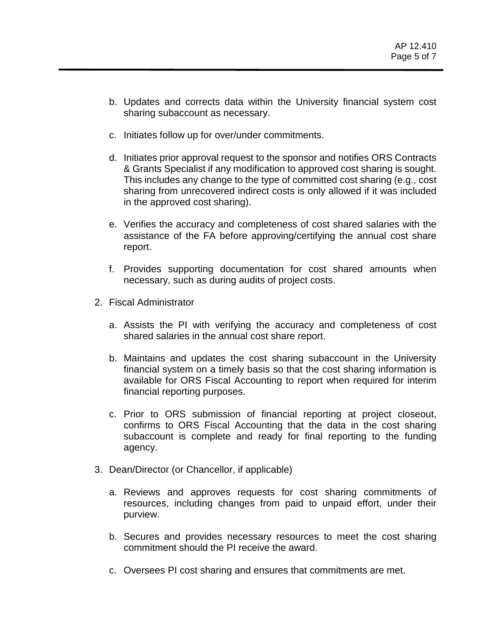- b. Updates and corrects data within the University financial system cost sharing subaccount as necessary.
- c. Initiates follow up for over/under commitments.
- d. Initiates prior approval request to the sponsor and notifies ORS Contracts & Grants Specialist if any modification to approved cost sharing is sought. This includes any change to the type of committed cost sharing (e.g., cost sharing from unrecovered indirect costs is only allowed if it was included in the approved cost sharing).
- e. Verifies the accuracy and completeness of cost shared salaries with the assistance of the FA before approving/certifying the annual cost share report.
- f. Provides supporting documentation for cost shared amounts when necessary, such as during audits of project costs.
- 2. Fiscal Administrator
	- a. Assists the PI with verifying the accuracy and completeness of cost shared salaries in the annual cost share report.
	- b. Maintains and updates the cost sharing subaccount in the University financial system on a timely basis so that the cost sharing information is available for ORS Fiscal Accounting to report when required for interim financial reporting purposes.
	- c. Prior to ORS submission of financial reporting at project closeout, confirms to ORS Fiscal Accounting that the data in the cost sharing subaccount is complete and ready for final reporting to the funding agency.
- 3. Dean/Director (or Chancellor, if applicable)
	- a. Reviews and approves requests for cost sharing commitments of resources, including changes from paid to unpaid effort, under their purview.
	- b. Secures and provides necessary resources to meet the cost sharing commitment should the PI receive the award.
	- c. Oversees PI cost sharing and ensures that commitments are met.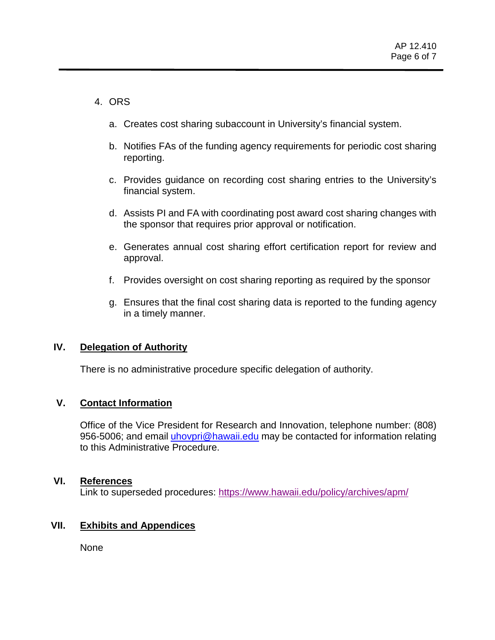### 4. ORS

- a. Creates cost sharing subaccount in University's financial system.
- b. Notifies FAs of the funding agency requirements for periodic cost sharing reporting.
- c. Provides guidance on recording cost sharing entries to the University's financial system.
- d. Assists PI and FA with coordinating post award cost sharing changes with the sponsor that requires prior approval or notification.
- e. Generates annual cost sharing effort certification report for review and approval.
- f. Provides oversight on cost sharing reporting as required by the sponsor
- g. Ensures that the final cost sharing data is reported to the funding agency in a timely manner.

#### **IV. Delegation of Authority**

There is no administrative procedure specific delegation of authority.

#### **V. Contact Information**

Office of the Vice President for Research and Innovation, telephone number: (808) 956-5006; and email [uhovpri@hawaii.edu](mailto:uhovpri@hawaii.edu) may be contacted for information relating to this Administrative Procedure.

#### **VI. References**

Link to superseded procedures: <https://www.hawaii.edu/policy/archives/apm/>

#### **VII. Exhibits and Appendices**

None